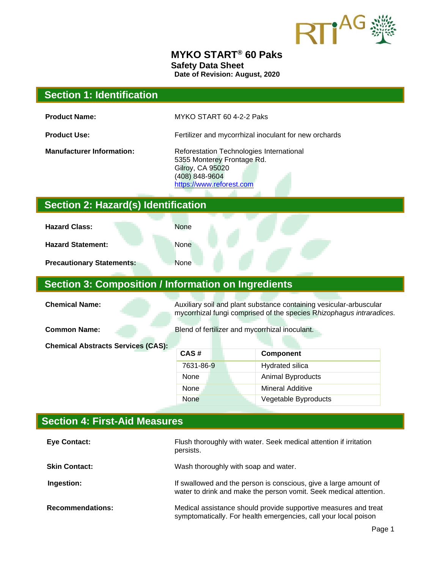

#### **MYKO START® 60 Paks Safety Data Sheet Date of Revision: August, 2020**

| <b>Section 1: Identification</b>                           |                                                                                                                                                 |                         |
|------------------------------------------------------------|-------------------------------------------------------------------------------------------------------------------------------------------------|-------------------------|
| <b>Product Name:</b>                                       | MYKO START 60 4-2-2 Paks                                                                                                                        |                         |
| <b>Product Use:</b>                                        | Fertilizer and mycorrhizal inoculant for new orchards                                                                                           |                         |
| <b>Manufacturer Information:</b>                           | Reforestation Technologies International<br>5355 Monterey Frontage Rd.<br><b>Gilroy, CA 95020</b><br>(408) 848-9604<br>https://www.reforest.com |                         |
| Section 2: Hazard(s) Identification                        |                                                                                                                                                 |                         |
| <b>Hazard Class:</b>                                       | <b>None</b>                                                                                                                                     |                         |
| <b>Hazard Statement:</b>                                   | None                                                                                                                                            |                         |
| <b>Precautionary Statements:</b>                           | None                                                                                                                                            |                         |
| <b>Section 3: Composition / Information on Ingredients</b> |                                                                                                                                                 |                         |
| <b>Chemical Name:</b>                                      | Auxiliary soil and plant substance containing vesicular-arbuscular<br>mycorrhizal fungi comprised of the species Rhizophagus intraradices.      |                         |
| <b>Common Name:</b>                                        | Blend of fertilizer and mycorrhizal inoculant.                                                                                                  |                         |
| <b>Chemical Abstracts Services (CAS):</b>                  |                                                                                                                                                 |                         |
|                                                            | CAS#                                                                                                                                            | Component               |
|                                                            | 7631-86-9                                                                                                                                       | Hydrated silica         |
|                                                            | None                                                                                                                                            | Animal Byproducts       |
|                                                            | None                                                                                                                                            | <b>Mineral Additive</b> |
|                                                            | None                                                                                                                                            | Vegetable Byproducts    |
| <b>Section 4: First-Aid Measures</b>                       |                                                                                                                                                 |                         |

| <b>Eye Contact:</b>     | Flush thoroughly with water. Seek medical attention if irritation<br>persists.                                                        |
|-------------------------|---------------------------------------------------------------------------------------------------------------------------------------|
| <b>Skin Contact:</b>    | Wash thoroughly with soap and water.                                                                                                  |
| Ingestion:              | If swallowed and the person is conscious, give a large amount of<br>water to drink and make the person vomit. Seek medical attention. |
| <b>Recommendations:</b> | Medical assistance should provide supportive measures and treat<br>symptomatically. For health emergencies, call your local poison    |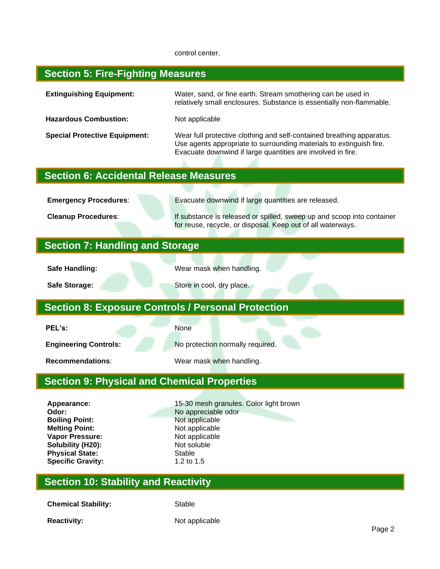#### control center.

#### **Section 5: Fire-Fighting Measures**

| <b>Extinguishing Equipment:</b>      | Water, sand, or fine earth. Stream smothering can be used in<br>relatively small enclosures. Substance is essentially non-flammable.                                                                        |
|--------------------------------------|-------------------------------------------------------------------------------------------------------------------------------------------------------------------------------------------------------------|
| <b>Hazardous Combustion:</b>         | Not applicable                                                                                                                                                                                              |
| <b>Special Protective Equipment:</b> | Wear full protective clothing and self-contained breathing apparatus.<br>Use agents appropriate to surrounding materials to extinguish fire.<br>Evacuate downwind if large quantities are involved in fire. |

## **Section 6: Accidental Release Measures**

**Emergency Procedures:** Evacuate downwind if large quantities are released. **Cleanup Procedures:** If substance is released or spilled, sweep up and scoop into container for reuse, recycle, or disposal. Keep out of all waterways. **Section 7: Handling and Storage Safe Handling:** Wear mask when handling. **Safe Storage:** Store in cool, dry place. **Section 8: Exposure Controls / Personal Protection PEL's:** None **Engineering Controls:** No protection normally required. **Recommendations:** Wear mask when handling. **Section 9: Physical and Chemical Properties Appearance:** 15-30 mesh granules. Color light brown **Odor:** No appreciable odor

**Boiling Point:** Not applicable **Melting Point:** Not applicable **Vapor Pressure:** Not applicable **Solubility (H20):** Not soluble **Physical State:** Stable Specific Gravity: Stable 3.2 to 1.5 **Specific Gravity:** 

#### **Section 10: Stability and Reactivity**

**Chemical Stability:** Stable

**Reactivity:** Not applicable